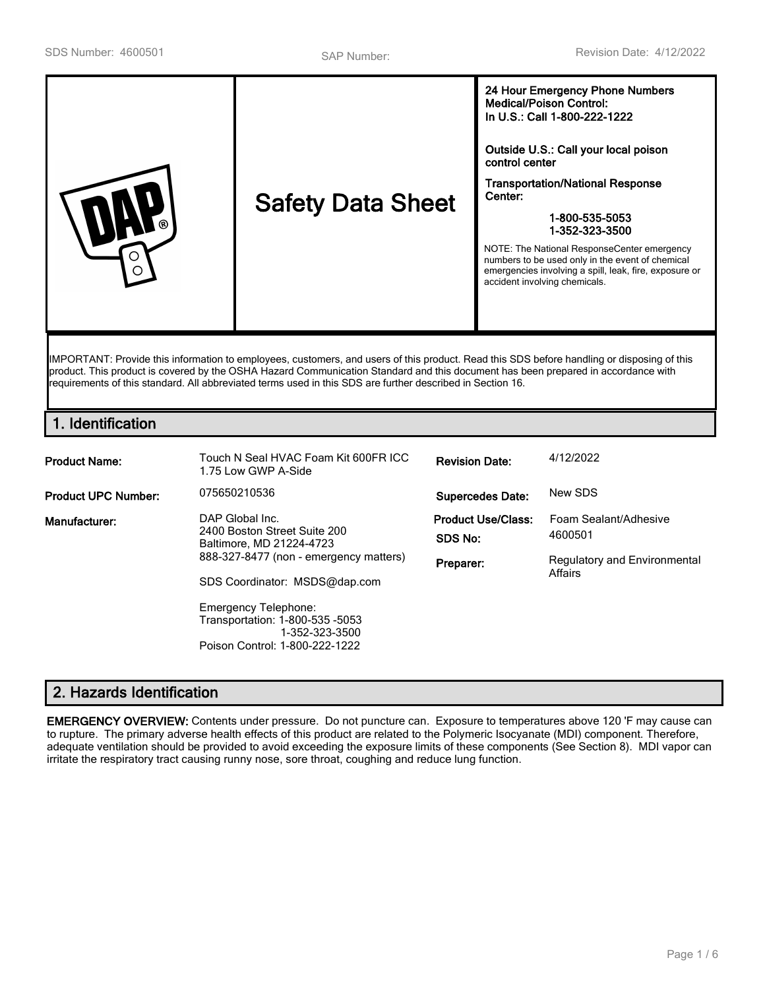| ര<br>◯ | <b>Safety Data Sheet</b> | 24 Hour Emergency Phone Numbers<br><b>Medical/Poison Control:</b><br>In U.S.: Call 1-800-222-1222<br>Outside U.S.: Call your local poison<br>control center<br><b>Transportation/National Response</b><br>Center:<br>1-800-535-5053<br>1-352-323-3500<br>NOTE: The National ResponseCenter emergency<br>numbers to be used only in the event of chemical<br>emergencies involving a spill, leak, fire, exposure or<br>accident involving chemicals. |
|--------|--------------------------|-----------------------------------------------------------------------------------------------------------------------------------------------------------------------------------------------------------------------------------------------------------------------------------------------------------------------------------------------------------------------------------------------------------------------------------------------------|
|        |                          |                                                                                                                                                                                                                                                                                                                                                                                                                                                     |

IMPORTANT: Provide this information to employees, customers, and users of this product. Read this SDS before handling or disposing of this product. This product is covered by the OSHA Hazard Communication Standard and this document has been prepared in accordance with requirements of this standard. All abbreviated terms used in this SDS are further described in Section 16.

# **1. Identification**

| <b>Product Name:</b>       | Touch N Seal HVAC Foam Kit 600FR ICC.<br>1.75 Low GWP A-Side                                                                                                                                                                                                                 | <b>Revision Date:</b>                             | 4/12/2022                                                                   |
|----------------------------|------------------------------------------------------------------------------------------------------------------------------------------------------------------------------------------------------------------------------------------------------------------------------|---------------------------------------------------|-----------------------------------------------------------------------------|
| <b>Product UPC Number:</b> | 075650210536                                                                                                                                                                                                                                                                 | <b>Supercedes Date:</b>                           | New SDS                                                                     |
| Manufacturer:              | DAP Global Inc.<br>2400 Boston Street Suite 200<br>Baltimore, MD 21224-4723<br>888-327-8477 (non - emergency matters)<br>SDS Coordinator: MSDS@dap.com<br><b>Emergency Telephone:</b><br>Transportation: 1-800-535 -5053<br>1-352-323-3500<br>Poison Control: 1-800-222-1222 | <b>Product Use/Class:</b><br>SDS No:<br>Preparer: | Foam Sealant/Adhesive<br>4600501<br>Regulatory and Environmental<br>Affairs |

# **2. Hazards Identification**

**EMERGENCY OVERVIEW:** Contents under pressure. Do not puncture can. Exposure to temperatures above 120 'F may cause can to rupture. The primary adverse health effects of this product are related to the Polymeric Isocyanate (MDI) component. Therefore, adequate ventilation should be provided to avoid exceeding the exposure limits of these components (See Section 8). MDI vapor can irritate the respiratory tract causing runny nose, sore throat, coughing and reduce lung function.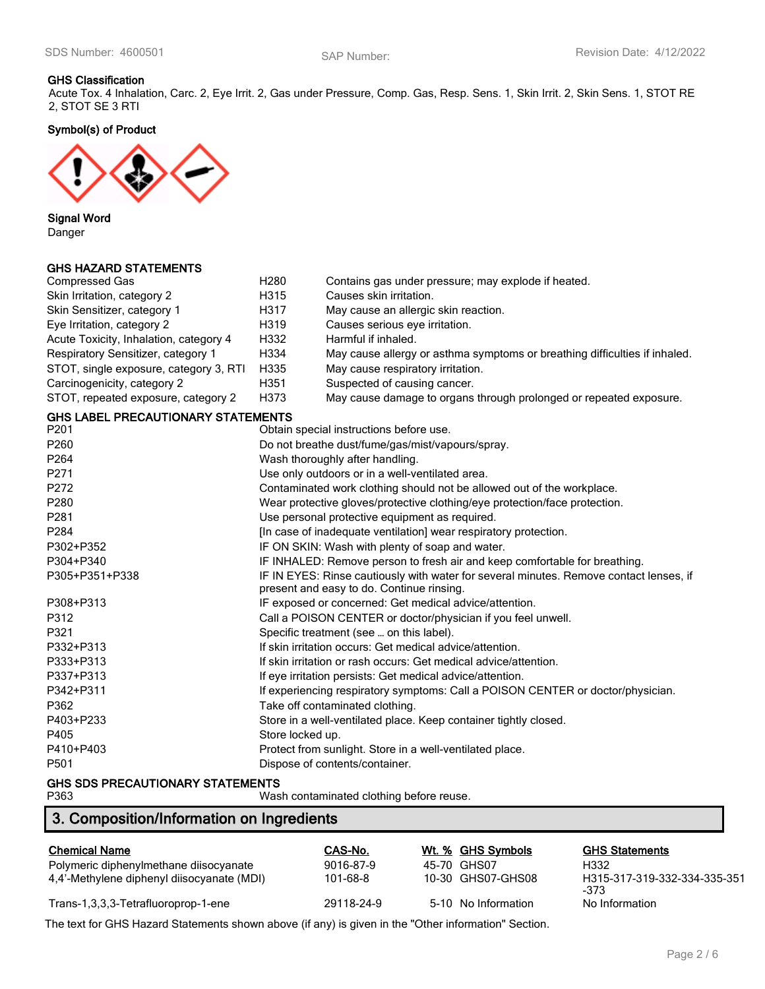#### **GHS Classification**

Acute Tox. 4 Inhalation, Carc. 2, Eye Irrit. 2, Gas under Pressure, Comp. Gas, Resp. Sens. 1, Skin Irrit. 2, Skin Sens. 1, STOT RE 2, STOT SE 3 RTI

**Symbol(s) of Product**



**Signal Word**

Danger

### **GHS HAZARD STATEMENTS**

| <b>Compressed Gas</b>                     | H <sub>280</sub>                                                                | Contains gas under pressure; may explode if heated.                                    |  |  |
|-------------------------------------------|---------------------------------------------------------------------------------|----------------------------------------------------------------------------------------|--|--|
| Skin Irritation, category 2               | H315                                                                            | Causes skin irritation.                                                                |  |  |
| Skin Sensitizer, category 1               | H317                                                                            | May cause an allergic skin reaction.                                                   |  |  |
| Eye Irritation, category 2                | H319<br>Causes serious eye irritation.                                          |                                                                                        |  |  |
| Acute Toxicity, Inhalation, category 4    | H332                                                                            | Harmful if inhaled.                                                                    |  |  |
| Respiratory Sensitizer, category 1        | H334                                                                            | May cause allergy or asthma symptoms or breathing difficulties if inhaled.             |  |  |
| STOT, single exposure, category 3, RTI    | H335                                                                            | May cause respiratory irritation.                                                      |  |  |
| Carcinogenicity, category 2               | H351                                                                            | Suspected of causing cancer.                                                           |  |  |
| STOT, repeated exposure, category 2       | H373                                                                            | May cause damage to organs through prolonged or repeated exposure.                     |  |  |
| <b>GHS LABEL PRECAUTIONARY STATEMENTS</b> |                                                                                 |                                                                                        |  |  |
| P201                                      |                                                                                 | Obtain special instructions before use.                                                |  |  |
| P260                                      |                                                                                 | Do not breathe dust/fume/gas/mist/vapours/spray.                                       |  |  |
| P264                                      |                                                                                 | Wash thoroughly after handling.                                                        |  |  |
| P271                                      |                                                                                 | Use only outdoors or in a well-ventilated area.                                        |  |  |
| P272                                      |                                                                                 | Contaminated work clothing should not be allowed out of the workplace.                 |  |  |
| P280                                      |                                                                                 | Wear protective gloves/protective clothing/eye protection/face protection.             |  |  |
| P281                                      | Use personal protective equipment as required.                                  |                                                                                        |  |  |
| P284                                      | [In case of inadequate ventilation] wear respiratory protection.                |                                                                                        |  |  |
| P302+P352                                 | IF ON SKIN: Wash with plenty of soap and water.                                 |                                                                                        |  |  |
| P304+P340                                 |                                                                                 | IF INHALED: Remove person to fresh air and keep comfortable for breathing.             |  |  |
| P305+P351+P338                            |                                                                                 | IF IN EYES: Rinse cautiously with water for several minutes. Remove contact lenses, if |  |  |
|                                           |                                                                                 | present and easy to do. Continue rinsing.                                              |  |  |
| P308+P313                                 |                                                                                 | IF exposed or concerned: Get medical advice/attention.                                 |  |  |
| P312                                      |                                                                                 | Call a POISON CENTER or doctor/physician if you feel unwell.                           |  |  |
| P321                                      |                                                                                 | Specific treatment (see  on this label).                                               |  |  |
| P332+P313                                 | If skin irritation occurs: Get medical advice/attention.                        |                                                                                        |  |  |
| P333+P313                                 | If skin irritation or rash occurs: Get medical advice/attention.                |                                                                                        |  |  |
| P337+P313                                 | If eye irritation persists: Get medical advice/attention.                       |                                                                                        |  |  |
| P342+P311                                 | If experiencing respiratory symptoms: Call a POISON CENTER or doctor/physician. |                                                                                        |  |  |
| P362                                      | Take off contaminated clothing.                                                 |                                                                                        |  |  |
| P403+P233                                 | Store in a well-ventilated place. Keep container tightly closed.                |                                                                                        |  |  |
| P405                                      | Store locked up.                                                                |                                                                                        |  |  |
| P410+P403                                 | Protect from sunlight. Store in a well-ventilated place.                        |                                                                                        |  |  |
| P501                                      |                                                                                 | Dispose of contents/container.                                                         |  |  |
|                                           |                                                                                 |                                                                                        |  |  |

# **GHS SDS PRECAUTIONARY STATEMENTS**

Wash contaminated clothing before reuse.

# **3. Composition/Information on Ingredients**

| <b>Chemical Name</b>                       | CAS-No.    | Wt. % GHS Symbols   | <b>GHS Statements</b>                |
|--------------------------------------------|------------|---------------------|--------------------------------------|
| Polymeric diphenylmethane diisocyanate     | 9016-87-9  | 45-70 GHS07         | H332                                 |
| 4,4'-Methylene diphenyl diisocyanate (MDI) | 101-68-8   | 10-30 GHS07-GHS08   | H315-317-319-332-334-335-351<br>-373 |
| Trans-1,3,3,3-Tetrafluoroprop-1-ene        | 29118-24-9 | 5-10 No Information | No Information                       |

The text for GHS Hazard Statements shown above (if any) is given in the "Other information" Section.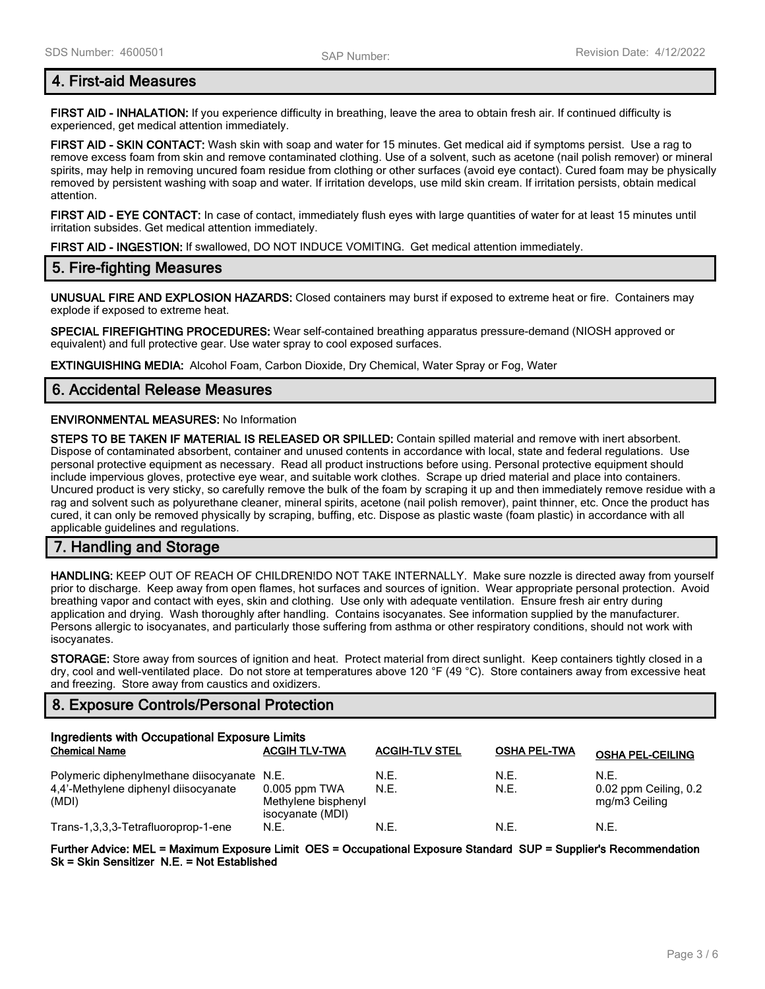# **4. First-aid Measures**

**FIRST AID - INHALATION:** If you experience difficulty in breathing, leave the area to obtain fresh air. If continued difficulty is experienced, get medical attention immediately.

**FIRST AID - SKIN CONTACT:** Wash skin with soap and water for 15 minutes. Get medical aid if symptoms persist. Use a rag to remove excess foam from skin and remove contaminated clothing. Use of a solvent, such as acetone (nail polish remover) or mineral spirits, may help in removing uncured foam residue from clothing or other surfaces (avoid eye contact). Cured foam may be physically removed by persistent washing with soap and water. If irritation develops, use mild skin cream. If irritation persists, obtain medical attention.

**FIRST AID - EYE CONTACT:** In case of contact, immediately flush eyes with large quantities of water for at least 15 minutes until irritation subsides. Get medical attention immediately.

**FIRST AID - INGESTION:** If swallowed, DO NOT INDUCE VOMITING. Get medical attention immediately.

### **5. Fire-fighting Measures**

**UNUSUAL FIRE AND EXPLOSION HAZARDS:** Closed containers may burst if exposed to extreme heat or fire. Containers may explode if exposed to extreme heat.

**SPECIAL FIREFIGHTING PROCEDURES:** Wear self-contained breathing apparatus pressure-demand (NIOSH approved or equivalent) and full protective gear. Use water spray to cool exposed surfaces.

**EXTINGUISHING MEDIA:** Alcohol Foam, Carbon Dioxide, Dry Chemical, Water Spray or Fog, Water

### **6. Accidental Release Measures**

#### **ENVIRONMENTAL MEASURES:** No Information

**STEPS TO BE TAKEN IF MATERIAL IS RELEASED OR SPILLED:** Contain spilled material and remove with inert absorbent. Dispose of contaminated absorbent, container and unused contents in accordance with local, state and federal regulations. Use personal protective equipment as necessary. Read all product instructions before using. Personal protective equipment should include impervious gloves, protective eye wear, and suitable work clothes. Scrape up dried material and place into containers. Uncured product is very sticky, so carefully remove the bulk of the foam by scraping it up and then immediately remove residue with a rag and solvent such as polyurethane cleaner, mineral spirits, acetone (nail polish remover), paint thinner, etc. Once the product has cured, it can only be removed physically by scraping, buffing, etc. Dispose as plastic waste (foam plastic) in accordance with all applicable guidelines and regulations.

# **7. Handling and Storage**

**HANDLING:** KEEP OUT OF REACH OF CHILDREN!DO NOT TAKE INTERNALLY. Make sure nozzle is directed away from yourself prior to discharge. Keep away from open flames, hot surfaces and sources of ignition. Wear appropriate personal protection. Avoid breathing vapor and contact with eyes, skin and clothing. Use only with adequate ventilation. Ensure fresh air entry during application and drying. Wash thoroughly after handling. Contains isocyanates. See information supplied by the manufacturer. Persons allergic to isocyanates, and particularly those suffering from asthma or other respiratory conditions, should not work with isocyanates.

**STORAGE:** Store away from sources of ignition and heat. Protect material from direct sunlight. Keep containers tightly closed in a dry, cool and well-ventilated place. Do not store at temperatures above 120 °F (49 °C). Store containers away from excessive heat and freezing. Store away from caustics and oxidizers.

# **8. Exposure Controls/Personal Protection**

| Ingredients with Occupational Exposure Limits                                                |                                                            |                       |                     |                                                |
|----------------------------------------------------------------------------------------------|------------------------------------------------------------|-----------------------|---------------------|------------------------------------------------|
| <b>Chemical Name</b>                                                                         | <b>ACGIH TLV-TWA</b>                                       | <b>ACGIH-TLV STEL</b> | <b>OSHA PEL-TWA</b> | <b>OSHA PEL-CEILING</b>                        |
| Polymeric diphenylmethane diisocyanate N.E.<br>4.4'-Methylene diphenyl diisocyanate<br>(MDI) | $0.005$ ppm TWA<br>Methylene bisphenyl<br>isocyanate (MDI) | N.E.<br>N.E.          | N.E.<br>N.E.        | N.F.<br>0.02 ppm Ceiling, 0.2<br>mg/m3 Ceiling |
| Trans-1,3,3,3-Tetrafluoroprop-1-ene                                                          | N.E.                                                       | N.E.                  | N.E.                | N.E.                                           |

**Further Advice: MEL = Maximum Exposure Limit OES = Occupational Exposure Standard SUP = Supplier's Recommendation Sk = Skin Sensitizer N.E. = Not Established**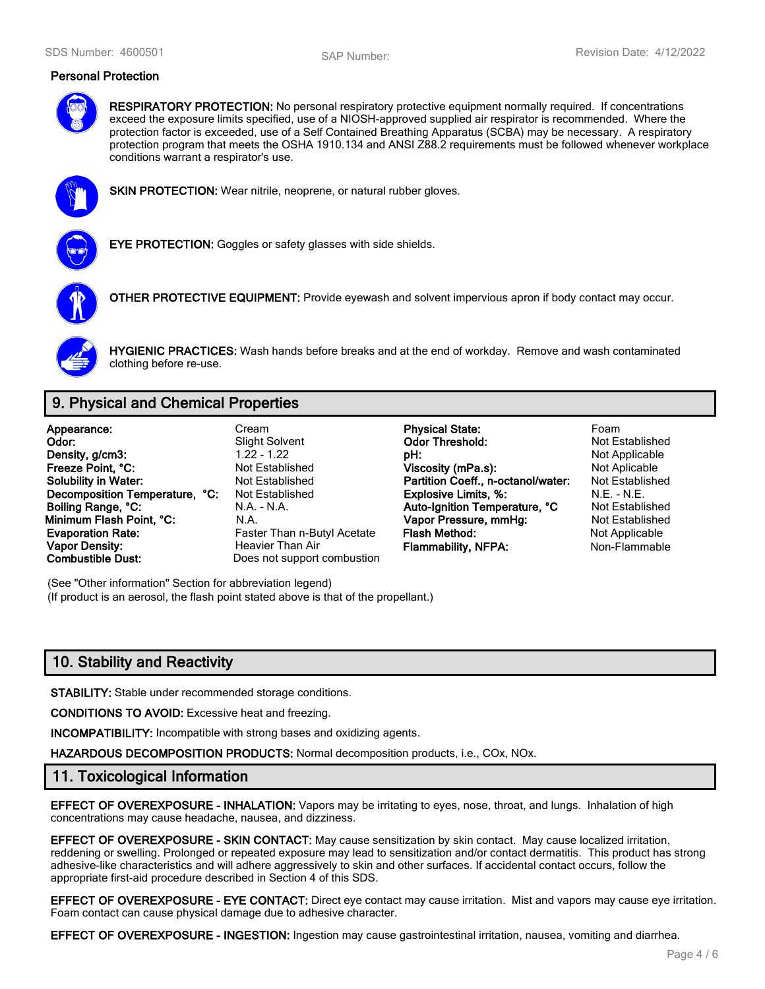#### **Personal Protection**



**RESPIRATORY PROTECTION:** No personal respiratory protective equipment normally required. If concentrations exceed the exposure limits specified, use of a NIOSH-approved supplied air respirator is recommended. Where the protection factor is exceeded, use of a Self Contained Breathing Apparatus (SCBA) may be necessary. A respiratory protection program that meets the OSHA 1910.134 and ANSI Z88.2 requirements must be followed whenever workplace conditions warrant a respirator's use.



**SKIN PROTECTION:** Wear nitrile, neoprene, or natural rubber gloves.



**EYE PROTECTION:** Goggles or safety glasses with side shields.



**OTHER PROTECTIVE EQUIPMENT:** Provide eyewash and solvent impervious apron if body contact may occur.



**HYGIENIC PRACTICES:** Wash hands before breaks and at the end of workday. Remove and wash contaminated clothing before re-use.

# **9. Physical and Chemical Properties**

**Appearance:** Cream **Physical State:** Foam **Vapor Density: Heavier Than Air Flammability, NFPA:** Non-Flammable **Combustible Dust:** Does not support combustion

Does not support combustion

**Odor:** Slight Solvent **Odor Threshold:** Not Established<br> **Density, a/cm3:** Computer of the Contract of the Contract of the Contract of the Not Applicable **Density, g/cm3:** 1.22 - 1.22 **pH: pH:** Not Applicable **Freeze Point, °C: Not Established Viscosity (mPa.s):** Not Aplicable Mot Aplicable **Solubility in Water:** Not Established **Solubility in Water:** Not Established **Solubility in Water:** Not Established **Partition Coeff., n-octanol/water: Decomposition Temperature, °C:** Not Established **Explosive Limits, %:** M.E. - N.E. - N.E. - N.E. - N.E. - N.E. - N.E. - N.E. - N.E. - N.E. - N.E. - N.E. - N.E. - N.E. - N.E. - N.A. - N.A. - N.A. - N.A. - N.A. - N.A. - Aut **Boiling Range, °C:** N.A. - N.A. **Auto-Ignition Temperature, °C** Not Established **Minimum Flash Point, °C:** N.A. **Vapor Pressure, mmHg:** Not Established **Evaporation Rate:** Faster Than n-Butyl Acetate **Flash Method:** Not Applicable **Not Applicable** 

(See "Other information" Section for abbreviation legend) (If product is an aerosol, the flash point stated above is that of the propellant.)

# **10. Stability and Reactivity**

**STABILITY:** Stable under recommended storage conditions.

**CONDITIONS TO AVOID:** Excessive heat and freezing.

**INCOMPATIBILITY:** Incompatible with strong bases and oxidizing agents.

**HAZARDOUS DECOMPOSITION PRODUCTS:** Normal decomposition products, i.e., COx, NOx.

### **11. Toxicological Information**

**EFFECT OF OVEREXPOSURE - INHALATION:** Vapors may be irritating to eyes, nose, throat, and lungs. Inhalation of high concentrations may cause headache, nausea, and dizziness.

**EFFECT OF OVEREXPOSURE - SKIN CONTACT:** May cause sensitization by skin contact. May cause localized irritation, reddening or swelling. Prolonged or repeated exposure may lead to sensitization and/or contact dermatitis. This product has strong adhesive-like characteristics and will adhere aggressively to skin and other surfaces. If accidental contact occurs, follow the appropriate first-aid procedure described in Section 4 of this SDS.

**EFFECT OF OVEREXPOSURE - EYE CONTACT:** Direct eye contact may cause irritation. Mist and vapors may cause eye irritation. Foam contact can cause physical damage due to adhesive character.

**EFFECT OF OVEREXPOSURE - INGESTION:** Ingestion may cause gastrointestinal irritation, nausea, vomiting and diarrhea.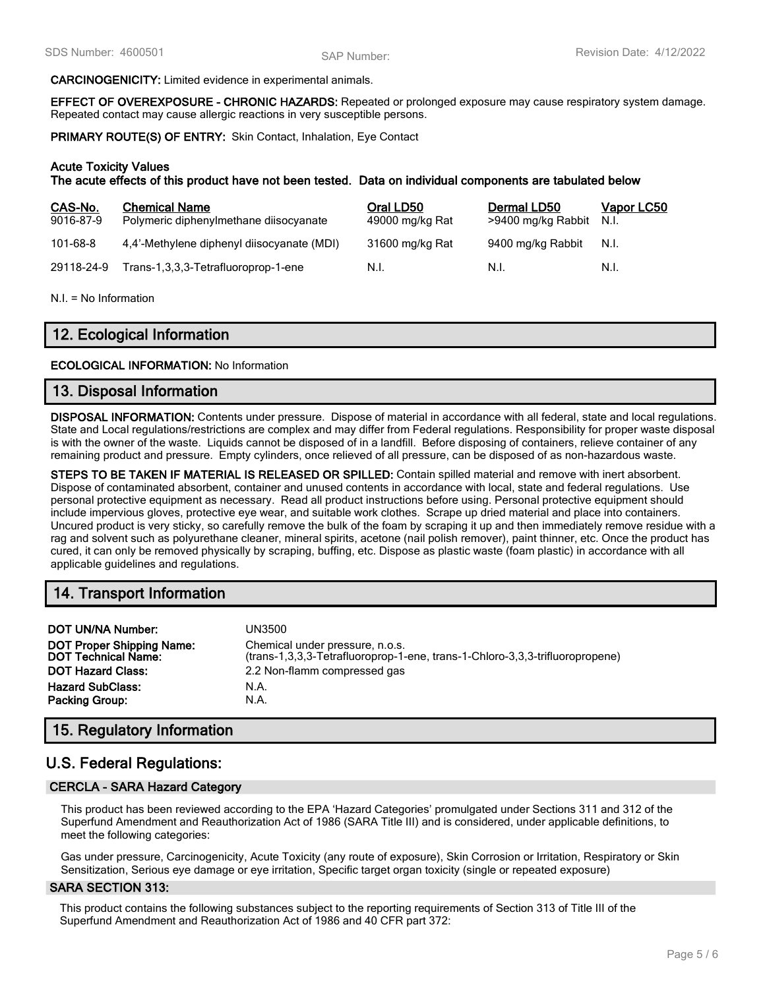#### **CARCINOGENICITY:** Limited evidence in experimental animals.

**EFFECT OF OVEREXPOSURE - CHRONIC HAZARDS:** Repeated or prolonged exposure may cause respiratory system damage. Repeated contact may cause allergic reactions in very susceptible persons.

**PRIMARY ROUTE(S) OF ENTRY:** Skin Contact, Inhalation, Eye Contact

#### **Acute Toxicity Values**

**The acute effects of this product have not been tested. Data on individual components are tabulated below**

| CAS-No.<br>9016-87-9 | <b>Chemical Name</b><br>Polymeric diphenylmethane diisocyanate | Oral LD50<br>49000 mg/kg Rat | Dermal LD50<br>>9400 mg/kg Rabbit | Vapor LC50<br>N.I. |
|----------------------|----------------------------------------------------------------|------------------------------|-----------------------------------|--------------------|
| 101-68-8             | 4.4'-Methylene diphenyl diisocyanate (MDI)                     | 31600 mg/kg Rat              | 9400 mg/kg Rabbit                 | N.I.               |
| 29118-24-9           | Trans-1,3,3,3-Tetrafluoroprop-1-ene                            | N.I.                         | N.L                               | N.I.               |

N.I. = No Information

# **12. Ecological Information**

#### **ECOLOGICAL INFORMATION:** No Information

#### **13. Disposal Information**

**DISPOSAL INFORMATION:** Contents under pressure. Dispose of material in accordance with all federal, state and local regulations. State and Local regulations/restrictions are complex and may differ from Federal regulations. Responsibility for proper waste disposal is with the owner of the waste. Liquids cannot be disposed of in a landfill. Before disposing of containers, relieve container of any remaining product and pressure. Empty cylinders, once relieved of all pressure, can be disposed of as non-hazardous waste.

**STEPS TO BE TAKEN IF MATERIAL IS RELEASED OR SPILLED:** Contain spilled material and remove with inert absorbent. Dispose of contaminated absorbent, container and unused contents in accordance with local, state and federal regulations. Use personal protective equipment as necessary. Read all product instructions before using. Personal protective equipment should include impervious gloves, protective eye wear, and suitable work clothes. Scrape up dried material and place into containers. Uncured product is very sticky, so carefully remove the bulk of the foam by scraping it up and then immediately remove residue with a rag and solvent such as polyurethane cleaner, mineral spirits, acetone (nail polish remover), paint thinner, etc. Once the product has cured, it can only be removed physically by scraping, buffing, etc. Dispose as plastic waste (foam plastic) in accordance with all applicable guidelines and regulations.

# **14. Transport Information**

| <b>DOT UN/NA Number:</b>                                       | UN3500                                                                                                          |
|----------------------------------------------------------------|-----------------------------------------------------------------------------------------------------------------|
| <b>DOT Proper Shipping Name:</b><br><b>DOT Technical Name:</b> | Chemical under pressure, n.o.s.<br>(trans-1,3,3,3-Tetrafluoroprop-1-ene, trans-1-Chloro-3,3,3-trifluoropropene) |
| <b>DOT Hazard Class:</b>                                       | 2.2 Non-flamm compressed gas                                                                                    |
| <b>Hazard SubClass:</b>                                        | N.A.                                                                                                            |
| <b>Packing Group:</b>                                          | N.A.                                                                                                            |

# **15. Regulatory Information**

# **U.S. Federal Regulations:**

#### **CERCLA - SARA Hazard Category**

This product has been reviewed according to the EPA 'Hazard Categories' promulgated under Sections 311 and 312 of the Superfund Amendment and Reauthorization Act of 1986 (SARA Title III) and is considered, under applicable definitions, to meet the following categories:

Gas under pressure, Carcinogenicity, Acute Toxicity (any route of exposure), Skin Corrosion or Irritation, Respiratory or Skin Sensitization, Serious eye damage or eye irritation, Specific target organ toxicity (single or repeated exposure)

#### **SARA SECTION 313:**

This product contains the following substances subject to the reporting requirements of Section 313 of Title III of the Superfund Amendment and Reauthorization Act of 1986 and 40 CFR part 372: